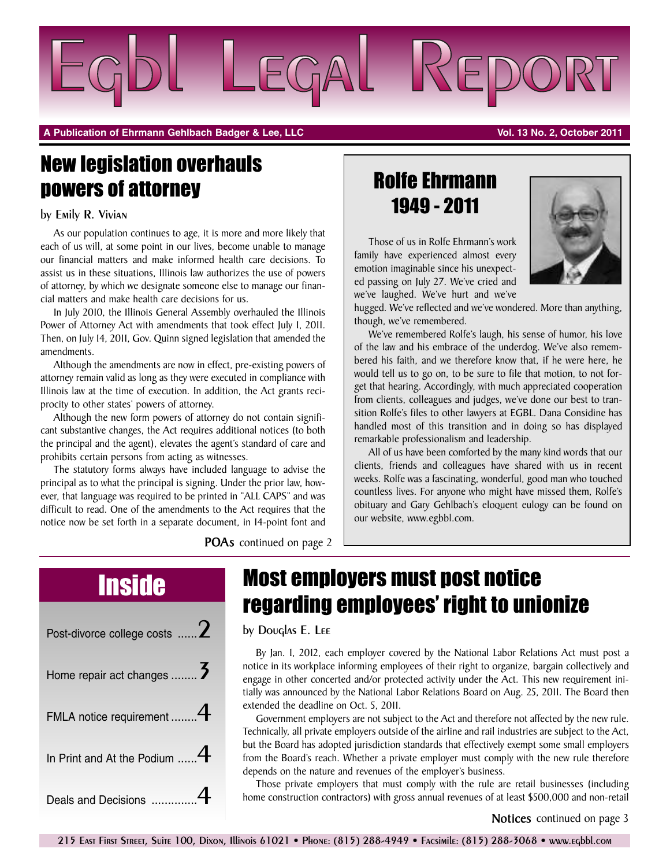

**A Publication of Ehrmann Gehlbach Badger & Lee, LLC Vol. 13 No. 2, October 2011**

# New legislation overhauls powers of attorney

## by Emily R. Vivian

As our population continues to age, it is more and more likely that each of us will, at some point in our lives, become unable to manage our financial matters and make informed health care decisions. To assist us in these situations, Illinois law authorizes the use of powers of attorney, by which we designate someone else to manage our financial matters and make health care decisions for us.

In July 2010, the Illinois General Assembly overhauled the Illinois Power of Attorney Act with amendments that took effect July 1, 2011. Then, on July 14, 2011, Gov. Quinn signed legislation that amended the amendments.

Although the amendments are now in effect, pre-existing powers of attorney remain valid as long as they were executed in compliance with Illinois law at the time of execution. In addition, the Act grants reciprocity to other states' powers of attorney.

Although the new form powers of attorney do not contain significant substantive changes, the Act requires additional notices (to both the principal and the agent), elevates the agent's standard of care and prohibits certain persons from acting as witnesses.

The statutory forms always have included language to advise the principal as to what the principal is signing. Under the prior law, however, that language was required to be printed in "ALL CAPS" and was difficult to read. One of the amendments to the Act requires that the notice now be set forth in a separate document, in 14-point font and

**POAs** continued on page 2

## Rolfe Ehrmann 1949 - 2011

Those of us in Rolfe Ehrmann's work family have experienced almost every emotion imaginable since his unexpected passing on July 27. We've cried and we've laughed. We've hurt and we've



hugged. We've reflected and we've wondered. More than anything, though, we've remembered.

We've remembered Rolfe's laugh, his sense of humor, his love of the law and his embrace of the underdog. We've also remembered his faith, and we therefore know that, if he were here, he would tell us to go on, to be sure to file that motion, to not forget that hearing. Accordingly, with much appreciated cooperation from clients, colleagues and judges, we've done our best to transition Rolfe's files to other lawyers at EGBL. Dana Considine has handled most of this transition and in doing so has displayed remarkable professionalism and leadership.

All of us have been comforted by the many kind words that our clients, friends and colleagues have shared with us in recent weeks. Rolfe was a fascinating, wonderful, good man who touched countless lives. For anyone who might have missed them, Rolfe's obituary and Gary Gehlbach's eloquent eulogy can be found on our website, www.egbbl.com.

| Post-divorce college costs  Z     |
|-----------------------------------|
| Home repair act changes  3        |
| FMLA notice requirement $4$       |
| In Print and At the Podium $$ $4$ |
| Deals and Decisions               |

# Inside Most employers must post notice regarding employees' right to unionize

## by Douglas E. Lee

By Jan. 1, 2012, each employer covered by the National Labor Relations Act must post a notice in its workplace informing employees of their right to organize, bargain collectively and engage in other concerted and/or protected activity under the Act. This new requirement initially was announced by the National Labor Relations Board on Aug. 25, 2011. The Board then extended the deadline on Oct. 5, 2011.

Government employers are not subject to the Act and therefore not affected by the new rule. Technically, all private employers outside of the airline and rail industries are subject to the Act, but the Board has adopted jurisdiction standards that effectively exempt some small employers from the Board's reach. Whether a private employer must comply with the new rule therefore depends on the nature and revenues of the employer's business.

Those private employers that must comply with the rule are retail businesses (including home construction contractors) with gross annual revenues of at least \$500,000 and non-retail

### **Notices** continued on page 3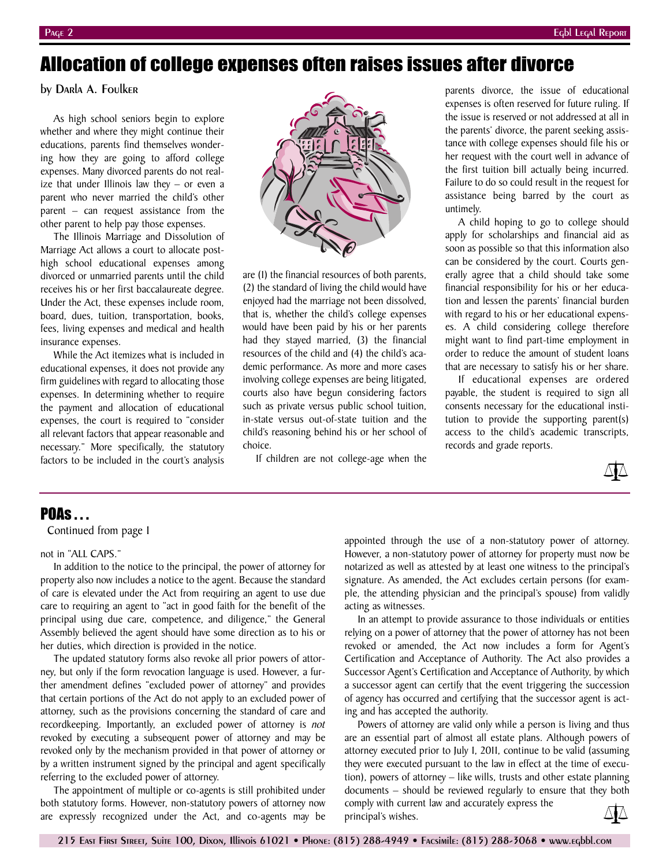## Allocation of college expenses often raises issues after divorce

by Darla A. Foulker

As high school seniors begin to explore whether and where they might continue their educations, parents find themselves wondering how they are going to afford college expenses. Many divorced parents do not realize that under Illinois law they – or even a parent who never married the child's other parent – can request assistance from the other parent to help pay those expenses.

The Illinois Marriage and Dissolution of Marriage Act allows a court to allocate posthigh school educational expenses among divorced or unmarried parents until the child receives his or her first baccalaureate degree. Under the Act, these expenses include room, board, dues, tuition, transportation, books, fees, living expenses and medical and health insurance expenses.

While the Act itemizes what is included in educational expenses, it does not provide any firm guidelines with regard to allocating those expenses. In determining whether to require the payment and allocation of educational expenses, the court is required to "consider all relevant factors that appear reasonable and necessary." More specifically, the statutory factors to be included in the court's analysis



are (1) the financial resources of both parents, (2) the standard of living the child would have enjoyed had the marriage not been dissolved, that is, whether the child's college expenses would have been paid by his or her parents had they stayed married, (3) the financial resources of the child and (4) the child's academic performance. As more and more cases involving college expenses are being litigated, courts also have begun considering factors such as private versus public school tuition, in-state versus out-of-state tuition and the child's reasoning behind his or her school of choice.

If children are not college-age when the

parents divorce, the issue of educational expenses is often reserved for future ruling. If the issue is reserved or not addressed at all in the parents' divorce, the parent seeking assistance with college expenses should file his or her request with the court well in advance of the first tuition bill actually being incurred. Failure to do so could result in the request for assistance being barred by the court as untimely.

A child hoping to go to college should apply for scholarships and financial aid as soon as possible so that this information also can be considered by the court. Courts generally agree that a child should take some financial responsibility for his or her education and lessen the parents' financial burden with regard to his or her educational expenses. A child considering college therefore might want to find part-time employment in order to reduce the amount of student loans that are necessary to satisfy his or her share.

If educational expenses are ordered payable, the student is required to sign all consents necessary for the educational institution to provide the supporting parent(s) access to the child's academic transcripts, records and grade reports.



## **POAS** . . .

Continued from page 1

### not in "ALL CAPS."

In addition to the notice to the principal, the power of attorney for property also now includes a notice to the agent. Because the standard of care is elevated under the Act from requiring an agent to use due care to requiring an agent to "act in good faith for the benefit of the principal using due care, competence, and diligence," the General Assembly believed the agent should have some direction as to his or her duties, which direction is provided in the notice.

The updated statutory forms also revoke all prior powers of attorney, but only if the form revocation language is used. However, a further amendment defines "excluded power of attorney" and provides that certain portions of the Act do not apply to an excluded power of attorney, such as the provisions concerning the standard of care and recordkeeping. Importantly, an excluded power of attorney is *not* revoked by executing a subsequent power of attorney and may be revoked only by the mechanism provided in that power of attorney or by a written instrument signed by the principal and agent specifically referring to the excluded power of attorney.

The appointment of multiple or co-agents is still prohibited under both statutory forms. However, non-statutory powers of attorney now are expressly recognized under the Act, and co-agents may be appointed through the use of a non-statutory power of attorney. However, a non-statutory power of attorney for property must now be notarized as well as attested by at least one witness to the principal's signature. As amended, the Act excludes certain persons (for example, the attending physician and the principal's spouse) from validly acting as witnesses.

In an attempt to provide assurance to those individuals or entities relying on a power of attorney that the power of attorney has not been revoked or amended, the Act now includes a form for Agent's Certification and Acceptance of Authority. The Act also provides a Successor Agent's Certification and Acceptance of Authority, by which a successor agent can certify that the event triggering the succession of agency has occurred and certifying that the successor agent is acting and has accepted the authority.

Powers of attorney are valid only while a person is living and thus are an essential part of almost all estate plans. Although powers of attorney executed prior to July 1, 2011, continue to be valid (assuming they were executed pursuant to the law in effect at the time of execution), powers of attorney – like wills, trusts and other estate planning documents – should be reviewed regularly to ensure that they both comply with current law and accurately express the principal's wishes.

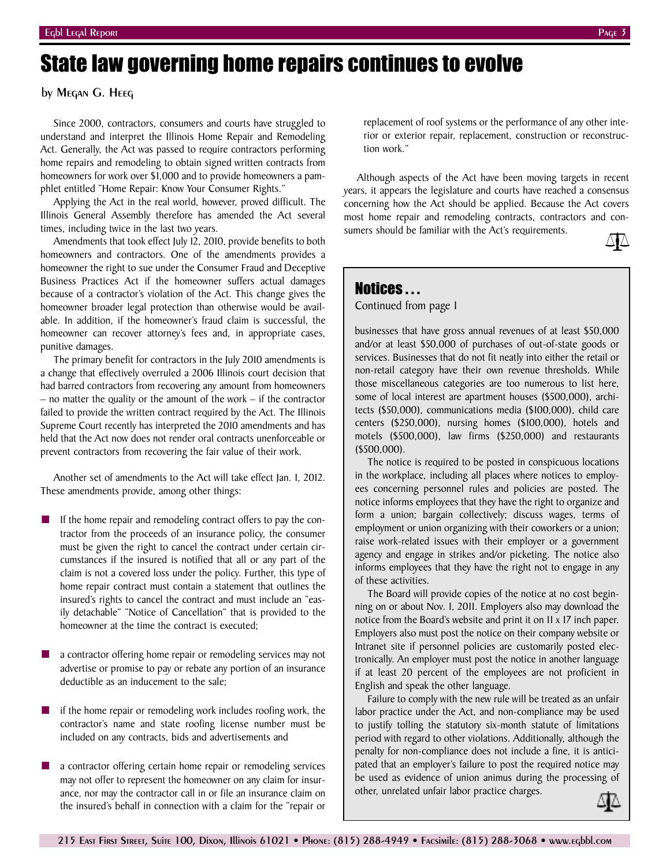# State law governing home repairs continues to evolve

by Megan G. Heeg

Since 2000, contractors, consumers and courts have struggled to understand and interpret the Illinois Home Repair and Remodeling Act. Generally, the Act was passed to require contractors performing home repairs and remodeling to obtain signed written contracts from homeowners for work over \$1,000 and to provide homeowners a pamphlet entitled "Home Repair: Know Your Consumer Rights."

Applying the Act in the real world, however, proved difficult. The Illinois General Assembly therefore has amended the Act several times, including twice in the last two years.

Amendments that took effect July 12, 2010, provide benefits to both homeowners and contractors. One of the amendments provides a homeowner the right to sue under the Consumer Fraud and Deceptive Business Practices Act if the homeowner suffers actual damages because of a contractor's violation of the Act. This change gives the homeowner broader legal protection than otherwise would be available. In addition, if the homeowner's fraud claim is successful, the homeowner can recover attorney's fees and, in appropriate cases, punitive damages.

The primary benefit for contractors in the July 2010 amendments is a change that effectively overruled a 2006 Illinois court decision that had barred contractors from recovering any amount from homeowners – no matter the quality or the amount of the work – if the contractor failed to provide the written contract required by the Act. The Illinois Supreme Court recently has interpreted the 2010 amendments and has held that the Act now does not render oral contracts unenforceable or prevent contractors from recovering the fair value of their work.

Another set of amendments to the Act will take effect Jan. 1, 2012. These amendments provide, among other things:

- If the home repair and remodeling contract offers to pay the contractor from the proceeds of an insurance policy, the consumer must be given the right to cancel the contract under certain circumstances if the insured is notified that all or any part of the claim is not a covered loss under the policy. Further, this type of home repair contract must contain a statement that outlines the insured's rights to cancel the contract and must include an "easily detachable" "Notice of Cancellation" that is provided to the homeowner at the time the contract is executed;
- a contractor offering home repair or remodeling services may not advertise or promise to pay or rebate any portion of an insurance deductible as an inducement to the sale;
- **■** if the home repair or remodeling work includes roofing work, the contractor's name and state roofing license number must be included on any contracts, bids and advertisements and
- a contractor offering certain home repair or remodeling services may not offer to represent the homeowner on any claim for insurance, nor may the contractor call in or file an insurance claim on the insured's behalf in connection with a claim for the "repair or

replacement of roof systems or the performance of any other interior or exterior repair, replacement, construction or reconstruction work."

Although aspects of the Act have been moving targets in recent years, it appears the legislature and courts have reached a consensus concerning how the Act should be applied. Because the Act covers most home repair and remodeling contracts, contractors and consumers should be familiar with the Act's requirements.

Notices . . .

Continued from page 1

businesses that have gross annual revenues of at least \$50,000 and/or at least \$50,000 of purchases of out-of-state goods or services. Businesses that do not fit neatly into either the retail or non-retail category have their own revenue thresholds. While those miscellaneous categories are too numerous to list here, some of local interest are apartment houses (\$500,000), architects (\$50,000), communications media (\$100,000), child care centers (\$250,000), nursing homes (\$100,000), hotels and motels (\$500,000), law firms (\$250,000) and restaurants (\$500,000).

The notice is required to be posted in conspicuous locations in the workplace, including all places where notices to employees concerning personnel rules and policies are posted. The notice informs employees that they have the right to organize and form a union; bargain collectively; discuss wages, terms of employment or union organizing with their coworkers or a union; raise work-related issues with their employer or a government agency and engage in strikes and/or picketing. The notice also informs employees that they have the right not to engage in any of these activities.

The Board will provide copies of the notice at no cost beginning on or about Nov. 1, 2011. Employers also may download the notice from the Board's website and print it on 11 x 17 inch paper. Employers also must post the notice on their company website or Intranet site if personnel policies are customarily posted electronically. An employer must post the notice in another language if at least 20 percent of the employees are not proficient in English and speak the other language.

Failure to comply with the new rule will be treated as an unfair labor practice under the Act, and non-compliance may be used to justify tolling the statutory six-month statute of limitations period with regard to other violations. Additionally, although the penalty for non-compliance does not include a fine, it is anticipated that an employer's failure to post the required notice may be used as evidence of union animus during the processing of other, unrelated unfair labor practice charges.